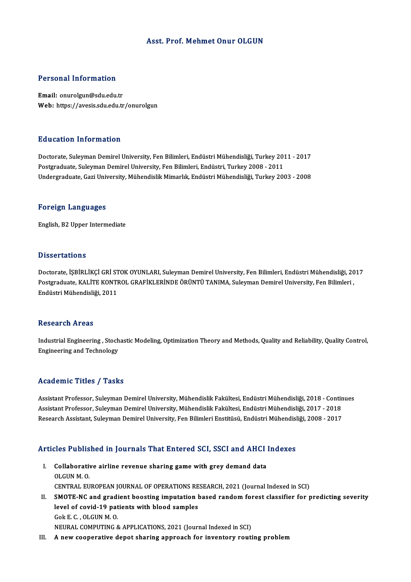## Asst. Prof. Mehmet Onur OLGUN

## Personal Information

Email: onurolgun@sdu.edu.tr Web: https://avesis.sdu.edu.tr/onurolgun

### Education Information

Education Information<br>Doctorate, Suleyman Demirel University, Fen Bilimleri, Endüstri Mühendisliği, Turkey 2011 - 2017<br>Postaraduata Suleyman Demirel University, Fen Bilimleri, Endüstri, Turkey 2008 - 2011 Pu u sutron "Informution"<br>Doctorate, Suleyman Demirel University, Fen Bilimleri, Endüstri Mühendisliği, Turkey 201<br>Postgraduate, Suleyman Demirel University, Fen Bilimleri, Endüstri, Turkey 2008 - 2011<br>Undergraduate, Cari Postgraduate, Suleyman Demirel University, Fen Bilimleri, Endüstri, Turkey 2008 - 2011<br>Undergraduate, Gazi University, Mühendislik Mimarlık, Endüstri Mühendisliği, Turkey 2003 - 2008

#### Foreign Languages

English,B2Upper Intermediate

## **Dissertations**

Dissertations<br>Doctorate, İŞBİRLİKÇİ GRİ STOK OYUNLARI, Suleyman Demirel University, Fen Bilimleri, Endüstri Mühendisliği, 2017<br>Postaraduate KALİTE KONTROL CRAFİKI FRİNDE ÖRÜNTÜ TANIMA, Suleyman Demirel University, Fen Bili P issesi tatrenis<br>Doctorate, İŞBİRLİKÇİ GRİ STOK OYUNLARI, Suleyman Demirel University, Fen Bilimleri, Endüstri Mühendisliği, 20<br>Postgraduate, KALİTE KONTROL GRAFİKLERİNDE ÖRÜNTÜ TANIMA, Suleyman Demirel University, Fen Bi Doctorate, İŞBİRLİKÇİ GRİ ST<br>Postgraduate, KALİTE KONTI<br>Endüstri Mühendisliği, 2011 Endüstri Mühendisliği, 2011<br>Research Areas

Industrial Engineering, Stochastic Modeling, Optimization Theory and Methods, Quality and Reliability, Quality Control, Engineering and Technology

### Academic Titles / Tasks

Academic Titles / Tasks<br>Assistant Professor, Suleyman Demirel University, Mühendislik Fakültesi, Endüstri Mühendisliği, 2018 - Continues<br>Assistant Professor, Suleyman Demirel University, Mühendislik Fakültesi, Endüstri Müh Assistant Professor, Suleyman Demirel University, Mühendislik Fakültesi, Endüstri Mühendisliği, 2018 - Contin<br>Assistant Professor, Suleyman Demirel University, Mühendislik Fakültesi, Endüstri Mühendisliği, 2017 - 2018<br>Bese Assistant Professor, Suleyman Demirel University, Mühendislik Fakültesi, Endüstri Mühendisliği, 2018 - Contin<br>Assistant Professor, Suleyman Demirel University, Mühendislik Fakültesi, Endüstri Mühendisliği, 2017 - 2018<br>Rese

# Research Assistant, Suleyman Demirel University, Fen Billimeri Ensutusu, Enquistri Munendisi<br>Articles Published in Journals That Entered SCI, SSCI and AHCI Indexes

rticles Published in Journals That Entered SCI, SSCI and AHCI<br>I. Collaborative airline revenue sharing game with grey demand data<br>OLCUNM O I. Collaborative airline revenue sharing game with grey demand data OLGUN M.O. Collaborative airline revenue sharing game with grey demand data<br>OLGUN M. O.<br>CENTRAL EUROPEAN JOURNAL OF OPERATIONS RESEARCH, 2021 (Journal Indexed in SCI)<br>SMOTE NC and gradiant beasting imputation based random forest clas OLGUN M. O.<br>CENTRAL EUROPEAN JOURNAL OF OPERATIONS RESEARCH, 2021 (Journal Indexed in SCI)<br>II. SMOTE-NC and gradient boosting imputation based random forest classifier for predicting severity<br>lovel of covid 10 patients wit CENTRAL EUROPEAN JOURNAL OF OPERATIONS RE<br>SMOTE-NC and gradient boosting imputation level of covid-19 patients with blood samples SMOTE-NC and gradi<br>level of covid-19 pat<br>Gok E. C. , OLGUN M. O.<br>NEUPAL COMBUTING 8 level of covid-19 patients with blood samples<br>Gok E. C. , OLGUN M. O.<br>NEURAL COMPUTING & APPLICATIONS, 2021 (Journal Indexed in SCI)

III. A new cooperative depot sharing approach for inventory routing problem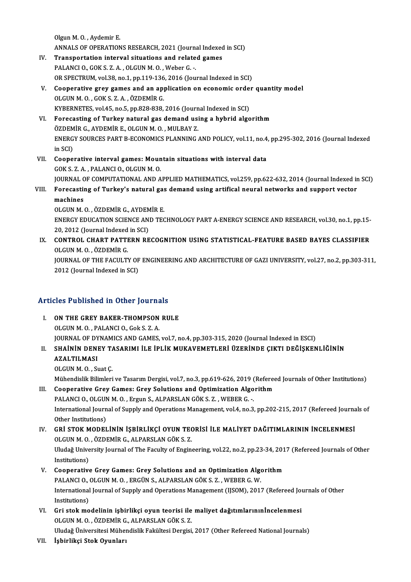OlgunM.O. ,Aydemir E. ANNALS OF OPERATIONS RESEARCH, 2021 (Journal Indexed in SCI) Olgun M. O., Aydemir E.<br>ANNALS OF OPERATIONS RESEARCH, 2021 (Journal Indexed<br>IV. Transportation interval situations and related games

- ANNALS OF OPERATIONS RESEARCH, 2021 (Journa<br>Transportation interval situations and relate<br>PALANCI O., GOK S. Z. A., OLGUN M. O., Weber G. Transportation interval situations and related games<br>PALANCI O., GOK S. Z. A. , OLGUN M. O. , Weber G. -.<br>OR SPECTRUM, vol.38, no.1, pp.119-136, 2016 (Journal Indexed in SCI)<br>Coenerative groy games and an annlisation on es PALANCI 0., GOK S. Z. A., OLGUN M. O., Weber G. -.<br>OR SPECTRUM, vol.38, no.1, pp.119-136, 2016 (Journal Indexed in SCI)<br>V. Cooperative grey games and an application on economic order quantity model<br>OLGUN M. O., COK S. Z.A.
- OR SPECTRUM, vol.38, no.1, pp.119-136<br>Cooperative grey games and an app<br>OLGUN M. O., GOK S. Z. A., ÖZDEMİR G. Cooperative grey games and an application on economic order<br>OLGUN M.O., GOK S.Z.A., ÖZDEMİR G.<br>KYBERNETES, vol.45, no.5, pp.828-838, 2016 (Journal Indexed in SCI)<br>Forecasting of Turkey natural gas domand using a bubrid alg OLGUN M. O., GOK S. Z. A., ÖZDEMİR G.<br>KYBERNETES, vol.45, no.5, pp.828-838, 2016 (Journal Indexed in SCI)<br>VI. Forecasting of Turkey natural gas demand using a hybrid algorithm
- KYBERNETES, vol.45, no.5, pp.828-838, 2016 (Journ<br>Forecasting of Turkey natural gas demand usi<br>ÖZDEMİR G., AYDEMİR E., OLGUN M. O. , MULBAY Z.<br>ENERCY SOURCES RART R ECONOMICS BLANNING ENERGY SOURCES PART B-ECONOMICS PLANNING AND POLICY, vol.11, no.4, pp.295-302, 2016 (Journal Indexed<br>in SCI) ÖZDEM<br>ENERG<br>in SCI)<br>Georgi ENERGY SOURCES PART B-ECONOMICS PLANNING AND POLICY, vol.11, no.4<br>in SCI)<br>VII. Cooperative interval games: Mountain situations with interval data<br> $COKS 7 A PAM ANCI Q QICUN M Q$
- in SCI)<br>Cooperative interval games: Moun<br>GOK S. Z. A. , PALANCI O., OLGUN M. O.<br>JOUPMAL OF COMBUTATIONAL AND A Cooperative interval games: Mountain situations with interval data<br>GOK S. Z. A. , PALANCI O., OLGUN M. O.<br>JOURNAL OF COMPUTATIONAL AND APPLIED MATHEMATICS, vol.259, pp.622-632, 2014 (Journal Indexed in SCI)<br>Forecesting of GOK S. Z. A. , PALANCI O., OLGUN M. O.<br>JOURNAL OF COMPUTATIONAL AND APPLIED MATHEMATICS, vol.259, pp.622-632, 2014 (Journal Indexed in<br>VIII. Forecasting of Turkey's natural gas demand using artifical neural networks an
- **JOURNAL C<br>Forecastii<br>machines<br>OLCUN M** VIII. Forecasting of Turkey's natural gas demand using artifical neural networks and support vector machines<br>machines  $OLGUN M. O. . \ddot{OZDEM}$  R  $G. AYDEMR E.$

machines<br>OLGUN M. O. , ÖZDEMİR G., AYDEMİR E.<br>ENERGY EDUCATION SCIENCE AND TECHNOLOGY PART A-ENERGY SCIENCE AND RESEARCH, vol.30, no.1, pp.15-<br>20, 2012 (Journal Indoved in SCD. OLGUN M. O. , ÖZDEMİR G., AYDEM<br>ENERGY EDUCATION SCIENCE AN:<br>20, 2012 (Journal Indexed in SCI)<br>CONTROL CHAPT BATTERN BE 20, 2012 (Journal Indexed in SCI)

IX. CONTROL CHART PATTERN RECOGNITION USING STATISTICAL-FEATURE BASED BAYES CLASSIFIER OLGUN M.O., ÖZDEMIR G. CONTROL CHART PATTERN RECOGNITION USING STATISTICAL-FEATURE BASED BAYES CLASSIFIER<br>OLGUN M. O. , ÖZDEMİR G.<br>JOURNAL OF THE FACULTY OF ENGINEERING AND ARCHITECTURE OF GAZI UNIVERSITY, vol.27, no.2, pp.303-311,<br>2012 (Journal OLGUN M. O. , ÖZDEMİR G.<br>JOURNAL OF THE FACULTY OF<br>2012 (Journal Indexed in SCI)

# Articles Published in Other Journals

Tricles Published in Other Journals<br>I. ON THE GREY BAKER-THOMPSON RULE I. ON THE GREY BAKER-THOMPSON RULE<br>OLGUN M. O., PALANCI O., Gok S. Z. A. JOURNALOFDYNAMICSANDGAMES,vol.7,no.4,pp.303-315,2020 (Journal Indexed inESCI) OLGUN M. O. , PALANCI O., Gok S. Z. A.<br>JOURNAL OF DYNAMICS AND GAMES, vol.7, no.4, pp.303-315, 2020 (Journal Indexed in ESCI)<br>II. SHAİNİN DENEY TASARIMI İLE İPLİK MUKAVEMETLERİ ÜZERİNDE ÇIKTI DEĞİŞKENLİĞİNİN<br>AZALTILMAS

# JOURNAL OF DY<br>SH<mark>AİNİN DEN</mark>I<br>AZALTILMASI<br>OLCUN M. O. S. SHAININ DENEY TA<br>AZALTILMASI<br>OLGUN M. O. , Suat Ç.<br>Mühandialir Bilimlari

AZALTILMASI<br>OLGUN M. O. , Suat Ç.<br>Mühendislik Bilimleri ve Tasarım Dergisi, vol.7, no.3, pp.619-626, 2019 (Refereed Journals of Other Institutions)<br>Cooperative Crey Comes: Crey Solutions and Ontimization Alsorithm OLGUN M. O. , Suat Ç.<br>Mühendislik Bilimleri ve Tasarım Dergisi, vol.7, no.3, pp.619-626, 2019 (Refere<br>III. Cooperative Grey Games: Grey Solutions and Optimization Algorithm

Mühendislik Bilimleri ve Tasarım Dergisi, vol.7, no.3, pp.619-626, 2019 (Cooperative Grey Games: Grey Solutions and Optimization Algo<br>PALANCI O., OLGUN M. O. , Ergun S., ALPARSLAN GÖK S. Z. , WEBER G. -.<br>International Jour International Journal of Supply and Operations Management, vol.4, no.3, pp.202-215, 2017 (Refereed Journals of<br>Other Institutions) PALANCI O., OLGUN M. O., Ergun S., ALPARSLAN GÖK S. Z., WEBER G. -. International Journal of Supply and Operations Management, vol.4, no.3, pp.202-215, 2017 (Refereed Journal Other Institutions)<br>IV. GRİ STOK MODELİNİN İŞBİRLİKÇİ OYUN TEORİSİ İLE MALİYET DAĞITIMLARININ İNCELENMESİ<br>OLCUN M.Q

# Other Institutions)<br>GRİ STOK MODELİNİN İŞBİRLİKÇİ OYUN TEC<br>OLGUN M. O. , ÖZDEMİR G., ALPARSLAN GÖK S. Z.<br>Uludağ University Jaurnal of The Eaculty of Engin GRİ STOK MODELİNİN İŞBİRLİKÇİ OYUN TEORİSİ İLE MALİYET DAĞITIMLARININ İNCELENMESİ<br>OLGUN M. O. , ÖZDEMİR G., ALPARSLAN GÖK S. Z.<br>Uludağ University Journal of The Faculty of Engineering, vol.22, no.2, pp.23-34, 2017 (Referee OLGUN M. O.<br>Uludağ Unive<br>Institutions)<br>Coonanative Uludağ University Journal of The Faculty of Engineering, vol.22, no.2, pp.23-34, 201<br>Institutions)<br>V. Cooperative Grey Games: Grey Solutions and an Optimization Algorithm<br>RALANCLO, OLGUN M.O., ERGÜN S. ALBARSLAN GÖK S. 7.

- Institutions)<br>Cooperative Grey Games: Grey Solutions and an Optimization Algo<br>PALANCI O., OLGUN M. O. , ERGÜN S., ALPARSLAN GÖK S. Z. , WEBER G. W.<br>International Journal of Sunnly and Operations Management (USOM), 2017 International Journal of Supply and Operations Management (IJSOM), 2017 (Refereed Journals of Other<br>Institutions) PALANCI O., OLGUN M. O., ERGÜN S., ALPARSLAN GÖK S. Z., WEBER G. W.
- VI. Gri stokmodelinin işbirlikçi oyun teorisi ilemaliyet dağıtımlarınınİncelenmesi OLGUNM.O. ,ÖZDEMİRG.,ALPARSLANGÖKS.Z. Uludağ Üniversitesi Mühendislik Fakültesi Dergisi, 2017 (Other Refereed National Journals)
- VII. İşbirlikçi Stok Oyunları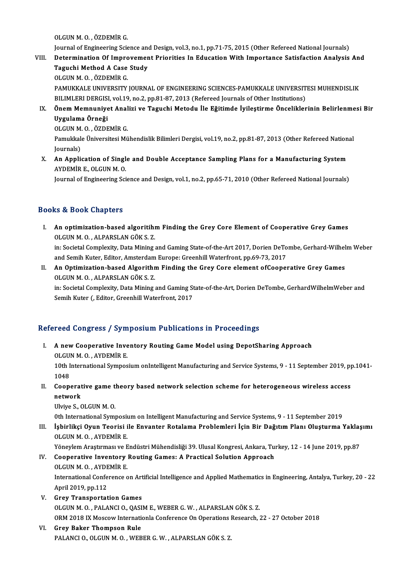OLGUNM.O. ,ÖZDEMİRG.

OLGUN M. O. , ÖZDEMİR G.<br>Journal of Engineering Science and Design, vol.3, no.1, pp.71-75, 2015 (Other Refereed National Journals)<br>Petermination Of Improvement Priesitics In Education With Importance Satisfaction Anglycia

- OLGUN M. O. , ÖZDEMİR G.<br>Journal of Engineering Science and Design, vol.3, no.1, pp.71-75, 2015 (Other Refereed National Journals)<br>VIII. Determination Of Improvement Priorities In Education With Importance Satisfaction Journal of Engineering Science and<br>Determination Of Improvemer<br>Taguchi Method A Case Study<br>OLGUN M.O. ÖZDEMIR G Determination Of Improvement Priorities In Education With Importance Satisfaction Analysis And<br>Taguchi Method A Case Study<br>OLGUN M. O. , ÖZDEMİR G. Taguchi Method A Case Study<br>OLGUN M. O. , ÖZDEMİR G.<br>PAMUKKALE UNIVERSITY JOURNAL OF ENGINEERING SCIENCES-PAMUKKALE UNIVERSITESI MUHENDISLIK<br>PILIMI ERLDERCISL VOL19, no.2, nn 81,87,2013 (Refereed Journals of Other Institut OLGUN M. O. , ÖZDEMİR G.<br>PAMUKKALE UNIVERSITY JOURNAL OF ENGINEERING SCIENCES-PAMUKKALE UNIVERSIT<br>BILIMLERI DERGISI, vol.19, no.2, pp.81-87, 2013 (Refereed Journals of Other Institutions)<br>Önem Mempunivet Analizi ve Tagushi BILIMLERI DERGISI, vol.19, no.2, pp.81-87, 2013 (Refereed Journals of Other Institutions)
- IX. Önem Memnuniyet Analizi ve Taguchi Metodu İle Eğitimde İyileştirme Önceliklerinin Belirlenmesi Bir<br>Uvgulama Örneği Önem Memnuniyet Anal<br>Uygulama Örneği<br>OLGUN M. O. , ÖZDEMİR G.<br>Pamukkala Üniversitesi Mü

Pamukkale Üniversitesi Mühendislik Bilimleri Dergisi, vol.19, no.2, pp.81-87, 2013 (Other Refereed National Iournals) OLGUN M.<br>Pamukkal<br>Journals)<br>An Annli Pamukkale Üniversitesi Mühendislik Bilimleri Dergisi, vol.19, no.2, pp.81-87, 2013 (Other Refereed Nation<br>Journals)<br>X. An Application of Single and Double Acceptance Sampling Plans for a Manufacturing System<br>AVDEMIR E. OLG

Journals)<br><mark>An Application of Singl</mark><br>AYDEMİR E., OLGUN M. O.<br>Journal of Engineering Sci AYDEMİR E., OLGUN M. O.<br>Journal of Engineering Science and Design, vol.1, no.2, pp.65-71, 2010 (Other Refereed National Journals)

# Books&Book Chapters

- ooks & Book Chapters<br>I. An optimization-based algoritihm Finding the Grey Core Element of Cooperative Grey Games<br>OLCUN M.O. ALBARSLAN.CÖKS 7 nd a book oneptors<br>An optimization-based algoritihi<br>OLGUN M. O. , ALPARSLAN GÖK S. Z.<br>in: Secietel Complexity, Data Mining An optimization-based algoritihm Finding the Grey Core Element of Cooperative Grey Games<br>OLGUN M. O. , ALPARSLAN GÖK S. Z.<br>in: Societal Complexity, Data Mining and Gaming State-of-the-Art 2017, Dorien DeTombe, Gerhard-Wilh OLGUN M. O. , ALPARSLAN GÖK S. Z.<br>in: Societal Complexity, Data Mining and Gaming State-of-the-Art 2017, Dorien DeTo<br>and Semih Kuter, Editor, Amsterdam Europe: Greenhill Waterfront, pp.69-73, 2017<br>An Ontimization based Alg
- in: Societal Complexity, Data Mining and Gaming State-of-the-Art 2017, Dorien DeTombe, Gerhard-Wilhel<br>and Semih Kuter, Editor, Amsterdam Europe: Greenhill Waterfront, pp.69-73, 2017<br>II. An Optimization-based Algorithm Find and Semih Kuter, Editor, Amsterdam<br>An Optimization-based Algorithr<br>OLGUN M. O. , ALPARSLAN GÖK S. Z.<br>in: Sesistel Cemplevity, Dete Mining An Optimization-based Algorithm Finding the Grey Core element ofCooperative Grey Games<br>OLGUN M. O. , ALPARSLAN GÖK S. Z.<br>in: Societal Complexity, Data Mining and Gaming State-of-the-Art, Dorien DeTombe, GerhardWilhelmWeber

OLGUN M. O. , ALPARSLAN GÖK S. Z.<br>in: Societal Complexity, Data Mining and Gaming State-of-the-Art, Dorien DeTombe, GerhardWilhelmWeber and<br>Semih Kuter (, Editor, Greenhill Waterfront, 2017

# Refereed Congress / Symposium Publications in Proceedings

efereed Congress / Symposium Publications in Proceedings<br>I. A new Cooperative Inventory Routing Game Model using DepotSharing Approach<br>OLGUN M.O. AYDEMIR E A new Cooperative Inve<br>OLGUN M.O., AYDEMİR E.<br>10th International Summer

A new Cooperative Inventory Routing Game Model using DepotSharing Approach<br>OLGUN M. O. , AYDEMİR E.<br>10th International Symposium onIntelligent Manufacturing and Service Systems, 9 - 11 September 2019, pp.1041-<br>1048 OLGU<br>10th I<br>1048 10th International Symposium onIntelligent Manufacturing and Service Systems, 9 - 11 September 2019, pp<br>1048<br>II. Cooperative game theory based network selection scheme for heterogeneous wireless access<br>network

1048<br>Cooperat<br>network<br><sup>Illvivo S</sup>. ( Cooperative game t<br>network<br>Ulviye S., OLGUN M. O.<br><sup>Oth International Sumi</sub></sup>

network<br>Ulviye S., OLGUN M. O.<br>Oth International Symposium on Intelligent Manufacturing and Service Systems, 9 - 11 September 2019

Ulviye S., OLGUN M. O.<br>Oth International Symposium on Intelligent Manufacturing and Service Systems, 9 - 11 September 2019<br>III. İşbirlikçi Oyun Teorisi ile Envanter Rotalama Problemleri İçin Bir Dağıtım Planı Oluşturma Yak Oth International Symposi<mark>i</mark><br>İşbirlikçi Oyun Teorisi i<br>OLGUN M. O. , AYDEMİR E.<br><sup>Vänovlom Arastuması ve E</sub></sup> İşbirlikçi Oyun Teorisi ile Envanter Rotalama Problemleri İçin Bir Dağıtım Planı Oluşturma Yaklaş<br>OLGUN M. O. , AYDEMİR E.<br>Yöneylem Araştırması ve Endüstri Mühendisliği 39. Ulusal Kongresi, Ankara, Turkey, 12 - 14 June 201

# OLGUN M. O. , AYDEMİR E.<br>Yöneylem Araştırması ve Endüstri Mühendisliği 39. Ulusal Kongresi, Ankara, Tu:<br>IV. Cooperative Inventory Routing Games: A Practical Solution Approach<br>OLGUN M. O. AYDEMİR E

Yöneylem Araştırması ve E<br>Cooperative Inventory<br>OLGUN M. O. , AYDEMİR E.<br>International Cenference e OLGUN M. O. , AYDEMİR E.<br>International Conference on Artificial Intelligence and Applied Mathematics in Engineering, Antalya, Turkey, 20 - 22 April 2019, pp.112

- V. Grey Transportation Games OLGUNM.O. ,PALANCIO.,QASIME.,WEBERG.W. ,ALPARSLANGÖKS.Z. ORM2018 IXMoscowInternationlaConferenceOnOperationsResearch,22 -27October 2018
- VI. Grey Baker Thompson Rule PALANCIO., OLGUNM.O., WEBERG.W., ALPARSLANGÖKS.Z.